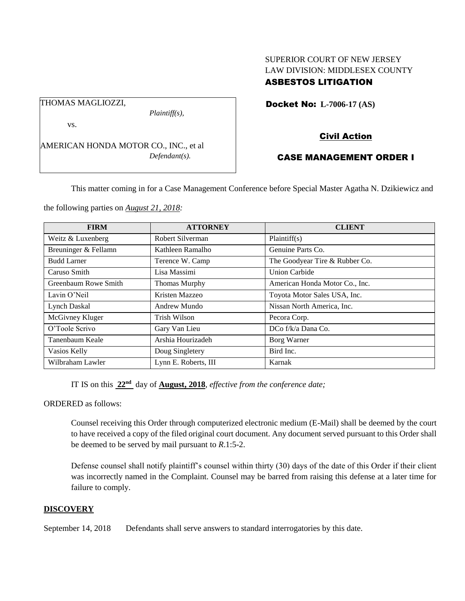### SUPERIOR COURT OF NEW JERSEY LAW DIVISION: MIDDLESEX COUNTY ASBESTOS LITIGATION

Docket No: **L-7006-17 (AS)** 

vs.

THOMAS MAGLIOZZI,

AMERICAN HONDA MOTOR CO., INC., et al *Defendant(s).*

*Plaintiff(s),*

# Civil Action

# CASE MANAGEMENT ORDER I

This matter coming in for a Case Management Conference before Special Master Agatha N. Dzikiewicz and

the following parties on *August 21, 2018:*

| <b>FIRM</b>          | <b>ATTORNEY</b>      | <b>CLIENT</b>                  |
|----------------------|----------------------|--------------------------------|
| Weitz & Luxenberg    | Robert Silverman     | Plaintiff(s)                   |
| Breuninger & Fellamn | Kathleen Ramalho     | Genuine Parts Co.              |
| <b>Budd Larner</b>   | Terence W. Camp      | The Goodyear Tire & Rubber Co. |
| Caruso Smith         | Lisa Massimi         | <b>Union Carbide</b>           |
| Greenbaum Rowe Smith | <b>Thomas Murphy</b> | American Honda Motor Co., Inc. |
| Lavin O'Neil         | Kristen Mazzeo       | Toyota Motor Sales USA, Inc.   |
| <b>Lynch Daskal</b>  | Andrew Mundo         | Nissan North America, Inc.     |
| McGivney Kluger      | Trish Wilson         | Pecora Corp.                   |
| O'Toole Scrivo       | Gary Van Lieu        | $DCo f/k/a$ Dana $Co$ .        |
| Tanenbaum Keale      | Arshia Hourizadeh    | Borg Warner                    |
| Vasios Kelly         | Doug Singletery      | Bird Inc.                      |
| Wilbraham Lawler     | Lynn E. Roberts, III | Karnak                         |

IT IS on this **22nd** day of **August, 2018**, *effective from the conference date;*

ORDERED as follows:

Counsel receiving this Order through computerized electronic medium (E-Mail) shall be deemed by the court to have received a copy of the filed original court document. Any document served pursuant to this Order shall be deemed to be served by mail pursuant to *R*.1:5-2.

Defense counsel shall notify plaintiff's counsel within thirty (30) days of the date of this Order if their client was incorrectly named in the Complaint. Counsel may be barred from raising this defense at a later time for failure to comply.

### **DISCOVERY**

September 14, 2018 Defendants shall serve answers to standard interrogatories by this date.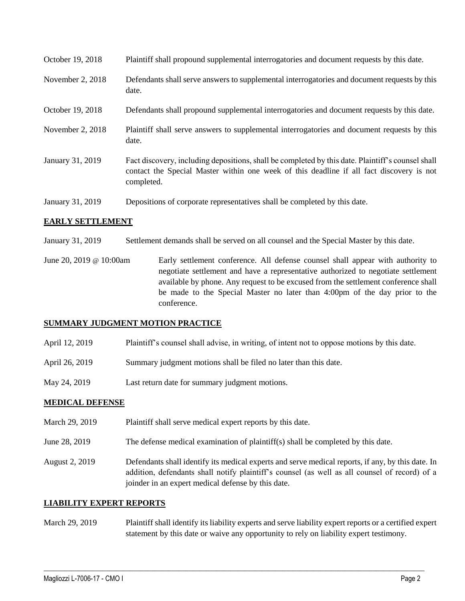| October 19, 2018 | Plaintiff shall propound supplemental interrogatories and document requests by this date.                                                                                                                   |
|------------------|-------------------------------------------------------------------------------------------------------------------------------------------------------------------------------------------------------------|
| November 2, 2018 | Defendants shall serve answers to supplemental interrogatories and document requests by this<br>date.                                                                                                       |
| October 19, 2018 | Defendants shall propound supplemental interrogatories and document requests by this date.                                                                                                                  |
| November 2, 2018 | Plaintiff shall serve answers to supplemental interrogatories and document requests by this<br>date.                                                                                                        |
| January 31, 2019 | Fact discovery, including depositions, shall be completed by this date. Plaintiff's counsel shall<br>contact the Special Master within one week of this deadline if all fact discovery is not<br>completed. |
| January 31, 2019 | Depositions of corporate representatives shall be completed by this date.                                                                                                                                   |

### **EARLY SETTLEMENT**

- January 31, 2019 Settlement demands shall be served on all counsel and the Special Master by this date.
- June 20, 2019 @ 10:00am Early settlement conference. All defense counsel shall appear with authority to negotiate settlement and have a representative authorized to negotiate settlement available by phone. Any request to be excused from the settlement conference shall be made to the Special Master no later than 4:00pm of the day prior to the conference.

### **SUMMARY JUDGMENT MOTION PRACTICE**

- April 12, 2019 Plaintiff's counsel shall advise, in writing, of intent not to oppose motions by this date.
- April 26, 2019 Summary judgment motions shall be filed no later than this date.
- May 24, 2019 Last return date for summary judgment motions.

### **MEDICAL DEFENSE**

- March 29, 2019 Plaintiff shall serve medical expert reports by this date.
- June 28, 2019 The defense medical examination of plaintiff(s) shall be completed by this date.
- August 2, 2019 Defendants shall identify its medical experts and serve medical reports, if any, by this date. In addition, defendants shall notify plaintiff's counsel (as well as all counsel of record) of a joinder in an expert medical defense by this date.

### **LIABILITY EXPERT REPORTS**

March 29, 2019 Plaintiff shall identify its liability experts and serve liability expert reports or a certified expert statement by this date or waive any opportunity to rely on liability expert testimony.

 $\_$  ,  $\_$  ,  $\_$  ,  $\_$  ,  $\_$  ,  $\_$  ,  $\_$  ,  $\_$  ,  $\_$  ,  $\_$  ,  $\_$  ,  $\_$  ,  $\_$  ,  $\_$  ,  $\_$  ,  $\_$  ,  $\_$  ,  $\_$  ,  $\_$  ,  $\_$  ,  $\_$  ,  $\_$  ,  $\_$  ,  $\_$  ,  $\_$  ,  $\_$  ,  $\_$  ,  $\_$  ,  $\_$  ,  $\_$  ,  $\_$  ,  $\_$  ,  $\_$  ,  $\_$  ,  $\_$  ,  $\_$  ,  $\_$  ,